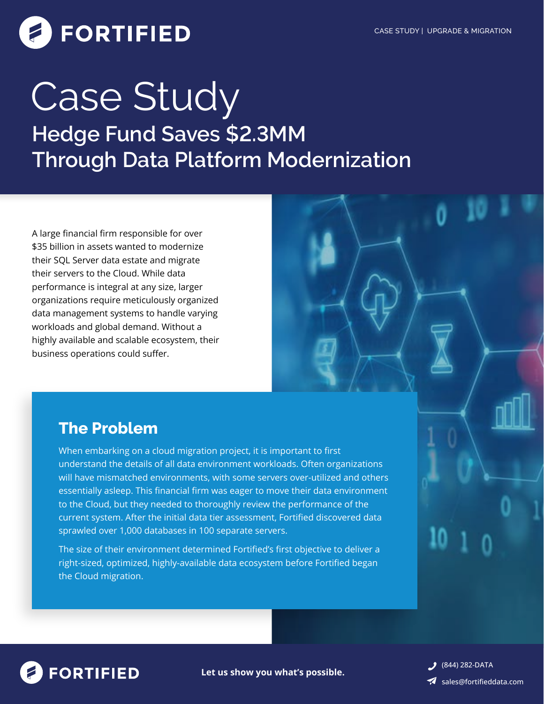# **FORTIFIED**

## **Hedge Fund Saves \$2.3MM Through Data Platform Modernization** Case Study

A large financial firm responsible for over \$35 billion in assets wanted to modernize their SQL Server data estate and migrate their servers to the Cloud. While data performance is integral at any size, larger organizations require meticulously organized data management systems to handle varying workloads and global demand. Without a highly available and scalable ecosystem, their business operations could suffer.

## **The Problem**

When embarking on a cloud migration project, it is important to first understand the details of all data environment workloads. Often organizations will have mismatched environments, with some servers over-utilized and others essentially asleep. This financial firm was eager to move their data environment to the Cloud, but they needed to thoroughly review the performance of the current system. After the initial data tier assessment, Fortified discovered data sprawled over 1,000 databases in 100 separate servers.

The size of their environment determined Fortified's first objective to deliver a right-sized, optimized, highly-available data ecosystem before Fortified began the Cloud migration.



**Let us show you what's possible.**

**3** (844) 282-DATA sales@fortifieddata.com